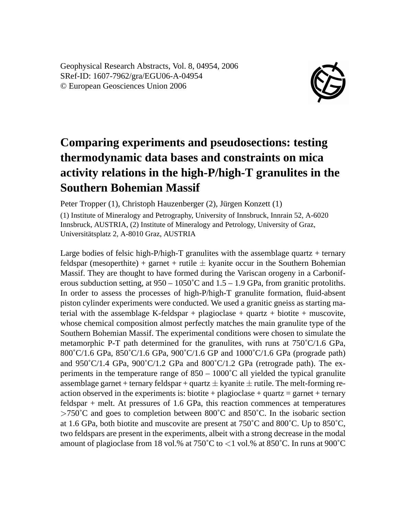Geophysical Research Abstracts, Vol. 8, 04954, 2006 SRef-ID: 1607-7962/gra/EGU06-A-04954 © European Geosciences Union 2006



## **Comparing experiments and pseudosections: testing thermodynamic data bases and constraints on mica activity relations in the high-P/high-T granulites in the Southern Bohemian Massif**

Peter Tropper (1), Christoph Hauzenberger (2), Jürgen Konzett (1)

(1) Institute of Mineralogy and Petrography, University of Innsbruck, Innrain 52, A-6020 Innsbruck, AUSTRIA, (2) Institute of Mineralogy and Petrology, University of Graz, Universitätsplatz 2, A-8010 Graz, AUSTRIA

Large bodies of felsic high-P/high-T granulites with the assemblage quartz  $+$  ternary feldspar (mesoperthite) + garnet + rutile  $\pm$  kyanite occur in the Southern Bohemian Massif. They are thought to have formed during the Variscan orogeny in a Carboniferous subduction setting, at  $950 - 1050^{\circ}$ C and  $1.5 - 1.9$  GPa, from granitic protoliths. In order to assess the processes of high-P/high-T granulite formation, fluid-absent piston cylinder experiments were conducted. We used a granitic gneiss as starting material with the assemblage K-feldspar + plagioclase + quartz + biotite + muscovite, whose chemical composition almost perfectly matches the main granulite type of the Southern Bohemian Massif. The experimental conditions were chosen to simulate the metamorphic P-T path determined for the granulites, with runs at 750˚C/1.6 GPa, 800˚C/1.6 GPa, 850˚C/1.6 GPa, 900˚C/1.6 GP and 1000˚C/1.6 GPa (prograde path) and  $950^{\circ}$ C/1.4 GPa,  $900^{\circ}$ C/1.2 GPa and  $800^{\circ}$ C/1.2 GPa (retrograde path). The experiments in the temperature range of  $850 - 1000^{\circ}$ C all yielded the typical granulite assemblage garnet + ternary feldspar + quartz  $\pm$  kyanite  $\pm$  rutile. The melt-forming reaction observed in the experiments is: biotite + plagioclase + quartz = garnet + ternary feldspar + melt. At pressures of 1.6 GPa, this reaction commences at temperatures  $>750^{\circ}$ C and goes to completion between 800°C and 850°C. In the isobaric section at 1.6 GPa, both biotite and muscovite are present at  $750^{\circ}$ C and  $800^{\circ}$ C. Up to  $850^{\circ}$ C, two feldspars are present in the experiments, albeit with a strong decrease in the modal amount of plagioclase from 18 vol.% at  $750^{\circ}$ C to  $<$ 1 vol.% at  $850^{\circ}$ C. In runs at  $900^{\circ}$ C